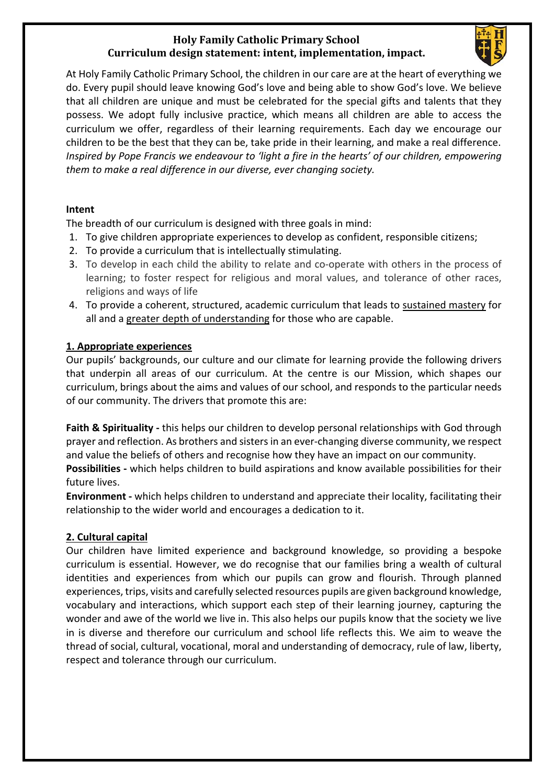# **Holy Family Catholic Primary School Curriculum design statement: intent, implementation, impact.**



At Holy Family Catholic Primary School, the children in our care are at the heart of everything we do. Every pupil should leave knowing God's love and being able to show God's love. We believe that all children are unique and must be celebrated for the special gifts and talents that they possess. We adopt fully inclusive practice, which means all children are able to access the curriculum we offer, regardless of their learning requirements. Each day we encourage our children to be the best that they can be, take pride in their learning, and make a real difference. *Inspired by Pope Francis we endeavour to 'light a fire in the hearts' of our children, empowering them to make a real difference in our diverse, ever changing society.* 

### **Intent**

The breadth of our curriculum is designed with three goals in mind:

- 1. To give children appropriate experiences to develop as confident, responsible citizens;
- 2. To provide a curriculum that is intellectually stimulating.
- 3. To develop in each child the ability to relate and co-operate with others in the process of learning; to foster respect for religious and moral values, and tolerance of other races, religions and ways of life
- 4. To provide a coherent, structured, academic curriculum that leads to sustained mastery for all and a greater depth of understanding for those who are capable.

### **1. Appropriate experiences**

Our pupils' backgrounds, our culture and our climate for learning provide the following drivers that underpin all areas of our curriculum. At the centre is our Mission, which shapes our curriculum, brings about the aims and values of our school, and responds to the particular needs of our community. The drivers that promote this are:

**Faith & Spirituality -** this helps our children to develop personal relationships with God through prayer and reflection. As brothers and sisters in an ever-changing diverse community, we respect and value the beliefs of others and recognise how they have an impact on our community. **Possibilities -** which helps children to build aspirations and know available possibilities for their future lives.

**Environment -** which helps children to understand and appreciate their locality, facilitating their relationship to the wider world and encourages a dedication to it.

# **2. Cultural capital**

Our children have limited experience and background knowledge, so providing a bespoke curriculum is essential. However, we do recognise that our families bring a wealth of cultural identities and experiences from which our pupils can grow and flourish. Through planned experiences, trips, visits and carefully selected resources pupils are given background knowledge, vocabulary and interactions, which support each step of their learning journey, capturing the wonder and awe of the world we live in. This also helps our pupils know that the society we live in is diverse and therefore our curriculum and school life reflects this. We aim to weave the thread of social, cultural, vocational, moral and understanding of democracy, rule of law, liberty, respect and tolerance through our curriculum.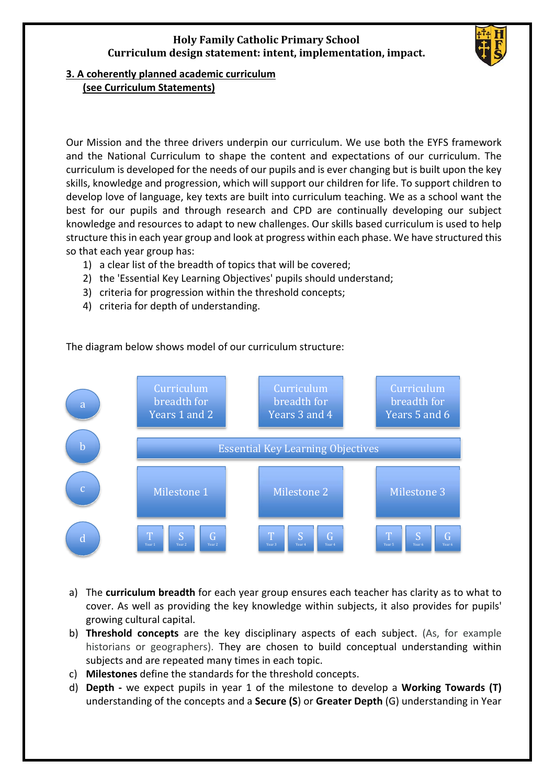# **Holy Family Catholic Primary School Curriculum design statement: intent, implementation, impact.**



#### **3. A coherently planned academic curriculum (see Curriculum Statements)**

Our Mission and the three drivers underpin our curriculum. We use both the EYFS framework and the National Curriculum to shape the content and expectations of our curriculum. The curriculum is developed for the needs of our pupils and is ever changing but is built upon the key skills, knowledge and progression, which will support our children for life. To support children to develop love of language, key texts are built into curriculum teaching. We as a school want the best for our pupils and through research and CPD are continually developing our subject knowledge and resources to adapt to new challenges. Our skills based curriculum is used to help structure this in each year group and look at progress within each phase. We have structured this so that each year group has:

- 1) a clear list of the breadth of topics that will be covered;
- 2) the 'Essential Key Learning Objectives' pupils should understand;
- 3) criteria for progression within the threshold concepts;
- 4) criteria for depth of understanding.



The diagram below shows model of our curriculum structure:

- a) The **curriculum breadth** for each year group ensures each teacher has clarity as to what to cover. As well as providing the key knowledge within subjects, it also provides for pupils' growing cultural capital.
- b) **Threshold concepts** are the key disciplinary aspects of each subject. (As, for example historians or geographers). They are chosen to build conceptual understanding within subjects and are repeated many times in each topic.
- c) **Milestones** define the standards for the threshold concepts.
- d) **Depth -** we expect pupils in year 1 of the milestone to develop a **Working Towards (T)**  understanding of the concepts and a **Secure (S**) or **Greater Depth** (G) understanding in Year